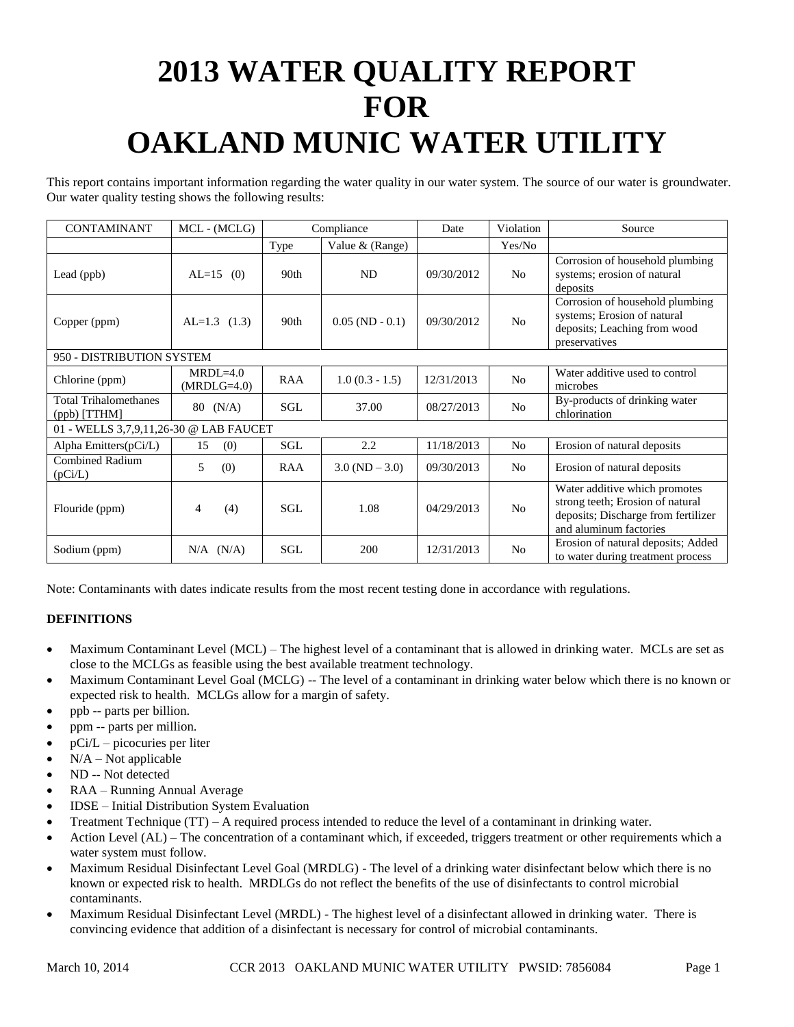# **2013 WATER QUALITY REPORT FOR OAKLAND MUNIC WATER UTILITY**

This report contains important information regarding the water quality in our water system. The source of our water is groundwater. Our water quality testing shows the following results:

| <b>CONTAMINANT</b>                             | MCL - (MCLG)                | Compliance |                          | Date       | Violation      | Source                                                                                                                             |
|------------------------------------------------|-----------------------------|------------|--------------------------|------------|----------------|------------------------------------------------------------------------------------------------------------------------------------|
|                                                |                             | Type       | Value & (Range)          |            | Yes/No         |                                                                                                                                    |
| Lead (ppb)                                     | $AL=15$ (0)                 | 90th       | ND                       | 09/30/2012 | N <sub>0</sub> | Corrosion of household plumbing<br>systems; erosion of natural<br>deposits                                                         |
| Copper (ppm)                                   | $AL=1.3$ (1.3)              | 90th       | $0.05$ (ND - 0.1)        | 09/30/2012 | N <sub>o</sub> | Corrosion of household plumbing<br>systems; Erosion of natural<br>deposits; Leaching from wood<br>preservatives                    |
| 950 - DISTRIBUTION SYSTEM                      |                             |            |                          |            |                |                                                                                                                                    |
| Chlorine (ppm)                                 | $MRDL=4.0$<br>$(MRDLG=4.0)$ | <b>RAA</b> | $1.0(0.3 - 1.5)$         | 12/31/2013 | N <sub>o</sub> | Water additive used to control<br>microbes                                                                                         |
| <b>Total Trihalomethanes</b><br>$(ppb)$ [TTHM] | $80 \t(N/A)$                | SGL        | 37.00                    | 08/27/2013 | N <sub>o</sub> | By-products of drinking water<br>chlorination                                                                                      |
| 01 - WELLS 3,7,9,11,26-30 @ LAB FAUCET         |                             |            |                          |            |                |                                                                                                                                    |
| Alpha Emitters(pCi/L)                          | 15<br>(0)                   | SGL        | 2.2                      | 11/18/2013 | N <sub>o</sub> | Erosion of natural deposits                                                                                                        |
| <b>Combined Radium</b><br>(pCi/L)              | 5<br>(0)                    | RAA        | $3.0 \text{ (ND } -3.0)$ | 09/30/2013 | No             | Erosion of natural deposits                                                                                                        |
| Flouride (ppm)                                 | (4)<br>4                    | SGL        | 1.08                     | 04/29/2013 | N <sub>o</sub> | Water additive which promotes<br>strong teeth; Erosion of natural<br>deposits; Discharge from fertilizer<br>and aluminum factories |
| Sodium (ppm)                                   | (N/A)<br>N/A                | <b>SGL</b> | 200                      | 12/31/2013 | No             | Erosion of natural deposits; Added<br>to water during treatment process                                                            |

Note: Contaminants with dates indicate results from the most recent testing done in accordance with regulations.

## **DEFINITIONS**

- Maximum Contaminant Level (MCL) The highest level of a contaminant that is allowed in drinking water. MCLs are set as close to the MCLGs as feasible using the best available treatment technology.
- Maximum Contaminant Level Goal (MCLG) -- The level of a contaminant in drinking water below which there is no known or expected risk to health. MCLGs allow for a margin of safety.
- ppb -- parts per billion.
- ppm -- parts per million.
- pCi/L picocuries per liter
- $N/A Not$  applicable
- ND -- Not detected
- RAA Running Annual Average
- IDSE Initial Distribution System Evaluation
- Treatment Technique (TT) A required process intended to reduce the level of a contaminant in drinking water.
- Action Level (AL) The concentration of a contaminant which, if exceeded, triggers treatment or other requirements which a water system must follow.
- Maximum Residual Disinfectant Level Goal (MRDLG) The level of a drinking water disinfectant below which there is no known or expected risk to health. MRDLGs do not reflect the benefits of the use of disinfectants to control microbial contaminants.
- Maximum Residual Disinfectant Level (MRDL) The highest level of a disinfectant allowed in drinking water. There is convincing evidence that addition of a disinfectant is necessary for control of microbial contaminants.